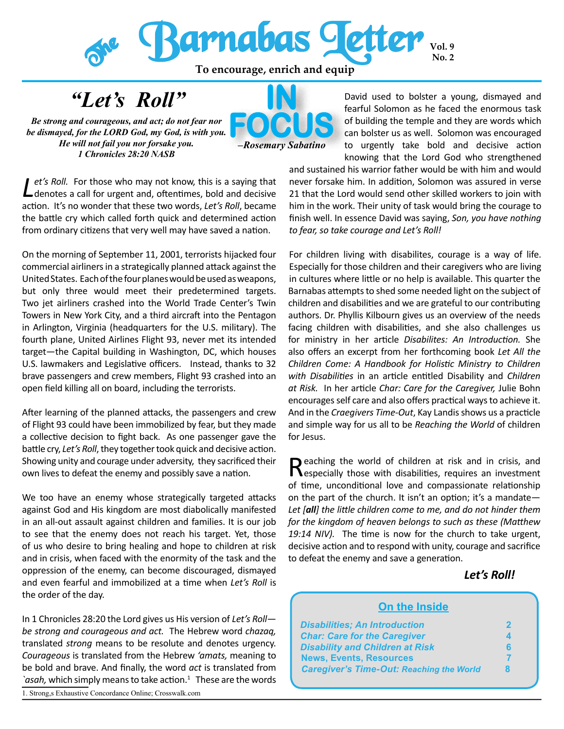

## *"Let's Roll"*

*Be strong and courageous, and act; do not fear nor be dismayed, for the LORD God, my God, is with you. He will not fail you nor forsake you. 1 Chronicles 28:20 NASB*



L et's Roll. For those who may not know, this is a saying that<br>Lenotes a call for urgent and, oftentimes, bold and decisive *et's Roll.* For those who may not know, this is a saying that action. It's no wonder that these two words, *Let's Roll*, became the battle cry which called forth quick and determined action from ordinary citizens that very well may have saved a nation.

On the morning of September 11, 2001, terrorists hijacked four commercial airliners in a strategically planned attack against the United States. Each of the four planes would be used as weapons, but only three would meet their predetermined targets. Two jet airliners crashed into the World Trade Center's Twin Towers in New York City, and a third aircraft into the Pentagon in Arlington, Virginia (headquarters for the U.S. military). The fourth plane, United Airlines Flight 93, never met its intended target—the Capital building in Washington, DC, which houses U.S. lawmakers and Legislative officers. Instead, thanks to 32 brave passengers and crew members, Flight 93 crashed into an open field killing all on board, including the terrorists.

After learning of the planned attacks, the passengers and crew of Flight 93 could have been immobilized by fear, but they made a collective decision to fight back. As one passenger gave the battle cry, *Let's Roll*, they together took quick and decisive action. Showing unity and courage under adversity, they sacrificed their own lives to defeat the enemy and possibly save a nation.

We too have an enemy whose strategically targeted attacks against God and His kingdom are most diabolically manifested in an all-out assault against children and families. It is our job to see that the enemy does not reach his target. Yet, those of us who desire to bring healing and hope to children at risk and in crisis, when faced with the enormity of the task and the oppression of the enemy, can become discouraged, dismayed and even fearful and immobilized at a time when *Let's Roll* is the order of the day.

In 1 Chronicles 28:20 the Lord gives us His version of *Let's Roll be strong and courageous and act.* The Hebrew word *chazaq,*  translated *strong* means to be resolute and denotes urgency. *Courageous* is translated from the Hebrew *'amats,* meaning to be bold and brave. And finally, the word *act* is translated from *`asah*, which simply means to take action.<sup>1</sup> These are the words

1. Strong,s Exhaustive Concordance Online; Crosswalk.com

David used to bolster a young, dismayed and fearful Solomon as he faced the enormous task of building the temple and they are words which can bolster us as well. Solomon was encouraged to urgently take bold and decisive action knowing that the Lord God who strengthened

and sustained his warrior father would be with him and would never forsake him. In addition, Solomon was assured in verse 21 that the Lord would send other skilled workers to join with him in the work. Their unity of task would bring the courage to finish well. In essence David was saying, *Son, you have nothing to fear, so take courage and Let's Roll!*

For children living with disabilites, courage is a way of life. Especially for those children and their caregivers who are living in cultures where little or no help is available. This quarter the Barnabas attempts to shed some needed light on the subject of children and disabilities and we are grateful to our contributing authors. Dr. Phyllis Kilbourn gives us an overview of the needs facing children with disabilities, and she also challenges us for ministry in her article *Disabilites: An Introduction.* She also offers an excerpt from her forthcoming book *Let All the Children Come: A Handbook for Holistic Ministry to Children with Disabilities* in an article entitled Disability and *Children at Risk.* In her article *Char: Care for the Caregiver,* Julie Bohn encourages self care and also offers practical ways to achieve it. And in the *Craegivers Time-Out*, Kay Landis shows us a practicle and simple way for us all to be *Reaching the World* of children for Jesus.

Reaching the world of children at risk and in crisis, and Respecially those with disabilities, requires an investment of time, unconditional love and compassionate relationship on the part of the church. It isn't an option; it's a mandate— *Let [all] the little children come to me, and do not hinder them for the kingdom of heaven belongs to such as these (Matthew 19:14 NIV).* The time is now for the church to take urgent, decisive action and to respond with unity, courage and sacrifice to defeat the enemy and save a generation.

## *Let's Roll!*

#### **On the Inside**

| <b>Disabilities; An Introduction</b>            | 2 |
|-------------------------------------------------|---|
| <b>Char: Care for the Caregiver</b>             | 4 |
| <b>Disability and Children at Risk</b>          | 6 |
| <b>News, Events, Resources</b>                  |   |
| <b>Caregiver's Time-Out: Reaching the World</b> | 8 |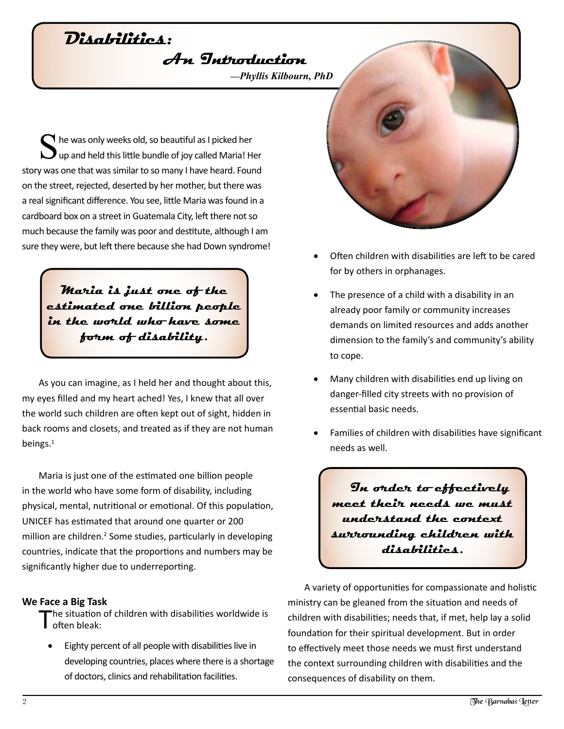**Disabilities:** 

**An Introduction**

*—Phyllis Kilbourn, PhD*

 $\blacktriangledown$  he was only weeks old, so beautiful as I picked her up and held this little bundle of joy called Maria! Her story was one that was similar to so many I have heard. Found on the street, rejected, deserted by her mother, but there was a real significant difference. You see, little Maria was found in a cardboard box on a street in Guatemala City, left there not so much because the family was poor and destitute, although I am sure they were, but left there because she had Down syndrome!

> **Maria is just one of the estimated one billion people in the world who have some form of disability.**

As you can imagine, as I held her and thought about this, my eyes filled and my heart ached! Yes, I knew that all over the world such children are often kept out of sight, hidden in back rooms and closets, and treated as if they are not human beings.1

Maria is just one of the estimated one billion people in the world who have some form of disability, including physical, mental, nutritional or emotional. Of this population, UNICEF has estimated that around one quarter or 200 million are children.<sup>2</sup> Some studies, particularly in developing countries, indicate that the proportions and numbers may be significantly higher due to underreporting.

#### **We Face a Big Task**

The situation of children with disabilities worldwide is often bleak:

Eighty percent of all people with disabilities live in developing countries, places where there is a shortage of doctors, clinics and rehabilitation facilities.



- Often children with disabilities are left to be cared for by others in orphanages.
- The presence of a child with a disability in an already poor family or community increases demands on limited resources and adds another dimension to the family's and community's ability to cope.
- Many children with disabilities end up living on danger-filled city streets with no provision of essential basic needs.
- Families of children with disabilities have significant needs as well.

**In order to effectively meet their needs we must understand the context surrounding children with disabilities.**

A variety of opportunities for compassionate and holistic ministry can be gleaned from the situation and needs of children with disabilities; needs that, if met, help lay a solid foundation for their spiritual development. But in order to effectively meet those needs we must first understand the context surrounding children with disabilities and the consequences of disability on them.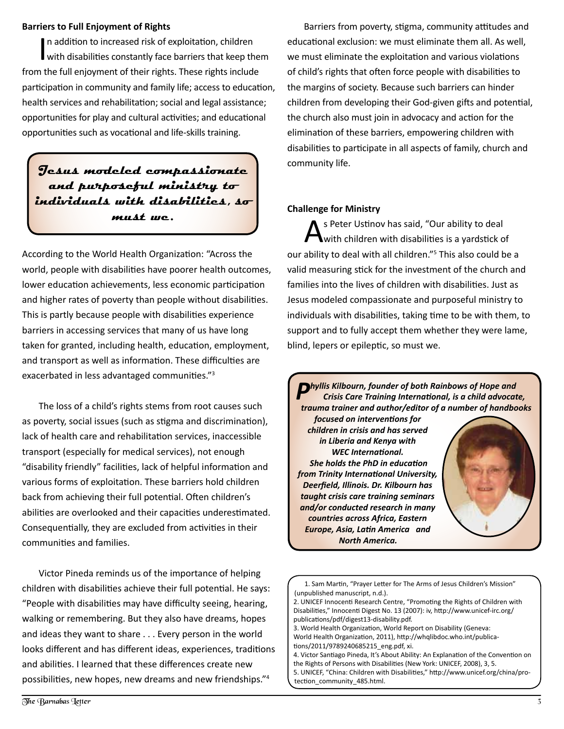#### **Barriers to Full Enjoyment of Rights**

In addition to increased risk of exploitation, children<br>with disabilities constantly face barriers that keep th with disabilities constantly face barriers that keep them from the full enjoyment of their rights. These rights include participation in community and family life; access to education, health services and rehabilitation; social and legal assistance; opportunities for play and cultural activities; and educational opportunities such as vocational and life-skills training.

**Jesus modeled compassionate and purposeful ministry to individuals with disabilities, so must we.**

According to the World Health Organization: "Across the world, people with disabilities have poorer health outcomes, lower education achievements, less economic participation and higher rates of poverty than people without disabilities. This is partly because people with disabilities experience barriers in accessing services that many of us have long taken for granted, including health, education, employment, and transport as well as information. These difficulties are exacerbated in less advantaged communities."3

The loss of a child's rights stems from root causes such as poverty, social issues (such as stigma and discrimination), lack of health care and rehabilitation services, inaccessible transport (especially for medical services), not enough "disability friendly" facilities, lack of helpful information and various forms of exploitation. These barriers hold children back from achieving their full potential. Often children's abilities are overlooked and their capacities underestimated. Consequentially, they are excluded from activities in their communities and families.

Victor Pineda reminds us of the importance of helping children with disabilities achieve their full potential. He says: "People with disabilities may have difficulty seeing, hearing, walking or remembering. But they also have dreams, hopes and ideas they want to share . . . Every person in the world looks different and has different ideas, experiences, traditions and abilities. I learned that these differences create new possibilities, new hopes, new dreams and new friendships."4

Barriers from poverty, stigma, community attitudes and educational exclusion: we must eliminate them all. As well, we must eliminate the exploitation and various violations of child's rights that often force people with disabilities to the margins of society. Because such barriers can hinder children from developing their God-given gifts and potential, the church also must join in advocacy and action for the elimination of these barriers, empowering children with disabilities to participate in all aspects of family, church and community life.

#### **Challenge for Ministry**

s Peter Ustinov has said, "Our ability to deal with children with disabilities is a yardstick of our ability to deal with all children."<sup>5</sup> This also could be a valid measuring stick for the investment of the church and families into the lives of children with disabilities. Just as Jesus modeled compassionate and purposeful ministry to individuals with disabilities, taking time to be with them, to support and to fully accept them whether they were lame, blind, lepers or epileptic, so must we.

*Phyllis Kilbourn, founder of both Rainbows of Hope and Crisis Care Training International, is a child advocate, trauma trainer and author/editor of a number of handbooks focused on interventions for children in crisis and has served in Liberia and Kenya with WEC International. She holds the PhD in education*

*from Trinity International University, Deerfield, Illinois. Dr. Kilbourn has taught crisis care training seminars and/or conducted research in many countries across Africa, Eastern Europe, Asia, Latin America and North America.*



1. Sam Martin, "Prayer Letter for The Arms of Jesus Children's Mission" (unpublished manuscript, n.d.). 2. UNICEF Innocenti Research Centre, "Promoting the Rights of Children with Disabilities," Innocenti Digest No. 13 (2007): iv, http://www.unicef-irc.org/ publications/pdf/digest13-disability.pdf. 3. World Health Organization, World Report on Disability (Geneva: World Health Organization, 2011), http://whqlibdoc.who.int/publications/2011/9789240685215\_eng.pdf, xi. 4. Victor Santiago Pineda, It's About Ability: An Explanation of the Convention on the Rights of Persons with Disabilities (New York: UNICEF, 2008), 3, 5. 5. UNICEF, "China: Children with Disabilities," http://www.unicef.org/china/protection\_community\_485.html.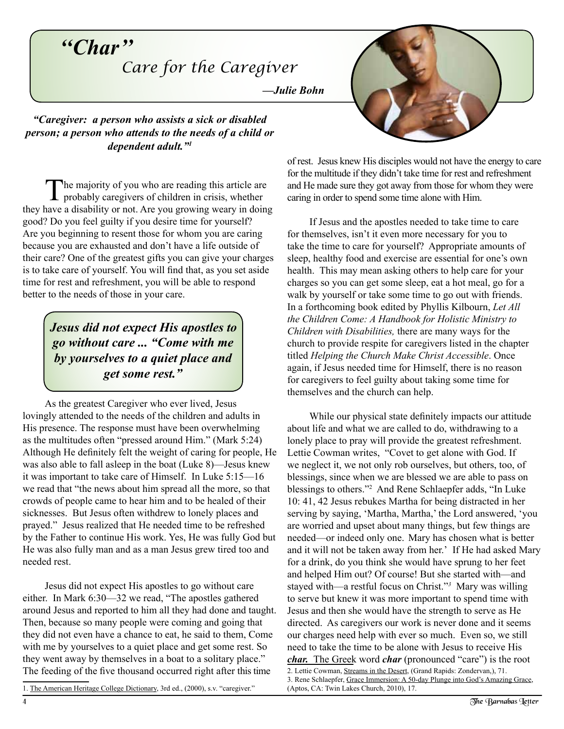*''Char'' Care for the Caregiver*

*—Julie Bohn*

*"Caregiver: a person who assists a sick or disabled person; a person who attends to the needs of a child or dependent adult."1*

The majority of you who are reading this article are probably caregivers of children in crisis, whether they have a disability or not. Are you growing weary in doing good? Do you feel guilty if you desire time for yourself? Are you beginning to resent those for whom you are caring because you are exhausted and don't have a life outside of their care? One of the greatest gifts you can give your charges is to take care of yourself. You will find that, as you set aside time for rest and refreshment, you will be able to respond better to the needs of those in your care.

> *Jesus did not expect His apostles to go without care ... "Come with me by yourselves to a quiet place and get some rest."*

As the greatest Caregiver who ever lived, Jesus lovingly attended to the needs of the children and adults in His presence. The response must have been overwhelming as the multitudes often "pressed around Him." (Mark 5:24) Although He definitely felt the weight of caring for people, He was also able to fall asleep in the boat (Luke 8)—Jesus knew it was important to take care of Himself. In Luke 5:15—16 we read that "the news about him spread all the more, so that crowds of people came to hear him and to be healed of their sicknesses.But Jesus often withdrew to lonely places and prayed." Jesus realized that He needed time to be refreshed by the Father to continue His work. Yes, He was fully God but He was also fully man and as a man Jesus grew tired too and needed rest.

Jesus did not expect His apostles to go without care either. In Mark 6:30—32 we read, "The apostles gathered around Jesus and reported to him all they had done and taught. Then, because so many people were coming and going that they did not even have a chance to eat, he said to them, Come with me by yourselves to a quiet place and get some rest. So they went away by themselves in a boat to a solitary place." The feeding of the five thousand occurred right after this time

1. The American Heritage College Dictionary, 3rd ed., (2000), s.v. "caregiver."



of rest. Jesus knew His disciples would not have the energy to care for the multitude if they didn't take time for rest and refreshment and He made sure they got away from those for whom they were caring in order to spend some time alone with Him.

If Jesus and the apostles needed to take time to care for themselves, isn't it even more necessary for you to take the time to care for yourself? Appropriate amounts of sleep, healthy food and exercise are essential for one's own health. This may mean asking others to help care for your charges so you can get some sleep, eat a hot meal, go for a walk by yourself or take some time to go out with friends. In a forthcoming book edited by Phyllis Kilbourn, *Let All the Children Come: A Handbook for Holistic Ministry to Children with Disabilities,* there are many ways for the church to provide respite for caregivers listed in the chapter titled *Helping the Church Make Christ Accessible*. Once again, if Jesus needed time for Himself, there is no reason for caregivers to feel guilty about taking some time for themselves and the church can help.

While our physical state definitely impacts our attitude about life and what we are called to do, withdrawing to a lonely place to pray will provide the greatest refreshment. Lettie Cowman writes, "Covet to get alone with God. If we neglect it, we not only rob ourselves, but others, too, of blessings, since when we are blessed we are able to pass on blessings to others."2 And Rene Schlaepfer adds, "In Luke 10: 41, 42 Jesus rebukes Martha for being distracted in her serving by saying, 'Martha, Martha,' the Lord answered, 'you are worried and upset about many things, but few things are needed—or indeed only one. Mary has chosen what is better and it will not be taken away from her.'If He had asked Mary for a drink, do you think she would have sprung to her feet and helped Him out? Of course! But she started with—and stayed with—a restful focus on Christ."*<sup>3</sup>* Mary was willing to serve but knew it was more important to spend time with Jesus and then she would have the strength to serve as He directed. As caregivers our work is never done and it seems our charges need help with ever so much. Even so, we still need to take the time to be alone with Jesus to receive His *char.* The Greek word *char* (pronounced "care") is the root 2. Lettie Cowman, Streams in the Desert, (Grand Rapids: Zondervan,), 71. 3. Rene Schlaepfer, Grace Immersion: A 50-day Plunge into God's Amazing Grace, (Aptos, CA: Twin Lakes Church, 2010), 17.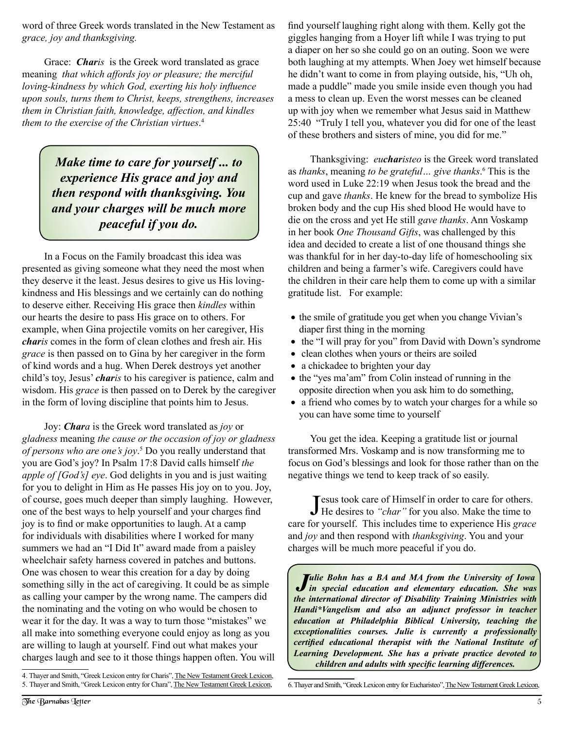word of three Greek words translated in the New Testament as *grace, joy and thanksgiving.* 

Grace: *Charis* is the Greek word translated as grace meaning *that which affords joy or pleasure; the merciful loving-kindness by which God, exerting his holy influence upon souls, turns them to Christ, keeps, strengthens, increases them in Christian faith, knowledge, affection, and kindles them to the exercise of the Christian virtues*. 4

> *Make time to care for yourself ... to experience His grace and joy and then respond with thanksgiving. You and your charges will be much more peaceful if you do.*

In a Focus on the Family broadcast this idea was presented as giving someone what they need the most when they deserve it the least. Jesus desires to give us His lovingkindness and His blessings and we certainly can do nothing to deserve either. Receiving His grace then *kindles* within our hearts the desire to pass His grace on to others. For example, when Gina projectile vomits on her caregiver, His *charis* comes in the form of clean clothes and fresh air. His *grace* is then passed on to Gina by her caregiver in the form of kind words and a hug. When Derek destroys yet another child's toy, Jesus' *charis* to his caregiver is patience, calm and wisdom. His *grace* is then passed on to Derek by the caregiver in the form of loving discipline that points him to Jesus.

Joy: *Chara* is the Greek word translated as *joy* or *gladness* meaning *the cause or the occasion of joy or gladness of persons who are one's joy*. 5 Do you really understand that you are God's joy? In Psalm 17:8 David calls himself *the apple of [God's] eye*. God delights in you and is just waiting for you to delight in Him as He passes His joy on to you. Joy, of course, goes much deeper than simply laughing. However, one of the best ways to help yourself and your charges find joy is to find or make opportunities to laugh. At a camp for individuals with disabilities where I worked for many summers we had an "I Did It" award made from a paisley wheelchair safety harness covered in patches and buttons. One was chosen to wear this creation for a day by doing something silly in the act of caregiving. It could be as simple as calling your camper by the wrong name. The campers did the nominating and the voting on who would be chosen to wear it for the day. It was a way to turn those "mistakes" we all make into something everyone could enjoy as long as you are willing to laugh at yourself. Find out what makes your charges laugh and see to it those things happen often. You will

find yourself laughing right along with them. Kelly got the giggles hanging from a Hoyer lift while I was trying to put a diaper on her so she could go on an outing. Soon we were both laughing at my attempts. When Joey wet himself because he didn't want to come in from playing outside, his, "Uh oh, made a puddle" made you smile inside even though you had a mess to clean up. Even the worst messes can be cleaned up with joy when we remember what Jesus said in Matthew 25:40 "Truly I tell you, whatever you did for one of the least of these brothers and sisters of mine, you did for me."

Thanksgiving: *eucharisteo* is the Greek word translated as *thanks*, meaning *to be grateful… give thanks*. 6 This is the word used in Luke 22:19 when Jesus took the bread and the cup and gave *thanks*. He knew for the bread to symbolize His broken body and the cup His shed blood He would have to die on the cross and yet He still *gave thanks*. Ann Voskamp in her book *One Thousand Gifts*, was challenged by this idea and decided to create a list of one thousand things she was thankful for in her day-to-day life of homeschooling six children and being a farmer's wife. Caregivers could have the children in their care help them to come up with a similar gratitude list. For example:

- the smile of gratitude you get when you change Vivian's diaper first thing in the morning
- the "I will pray for you" from David with Down's syndrome
- clean clothes when yours or theirs are soiled
- a chickadee to brighten your day
- the "yes ma'am" from Colin instead of running in the opposite direction when you ask him to do something,
- a friend who comes by to watch your charges for a while so you can have some time to yourself

You get the idea. Keeping a gratitude list or journal transformed Mrs. Voskamp and is now transforming me to focus on God's blessings and look for those rather than on the negative things we tend to keep track of so easily.

**J** esus took care of Himself in order to care for others.<br>He desires to *"char"* for you also. Make the time to Tesus took care of Himself in order to care for others. care for yourself. This includes time to experience His *grace* and *joy* and then respond with *thanksgiving*. You and your charges will be much more peaceful if you do.

*Julie Bohn has a BA and MA from the University of Iowa in special education and elementary education. She was the international director of Disability Training Ministries with Handi\*Vangelism and also an adjunct professor in teacher education at Philadelphia Biblical University, teaching the exceptionalities courses. Julie is currently a professionally certified educational therapist with the National Institute of Learning Development. She has a private practice devoted to children and adults with specific learning differences.*

6. Thayer and Smith, "Greek Lexicon entry for Eucharisteo", The New Testament Greek Lexicon,

<sup>4.</sup> Thayer and Smith, "Greek Lexicon entry for Charis", The New Testament Greek Lexicon, 5. Thayer and Smith, "Greek Lexicon entry for Chara", The New Testament Greek Lexicon,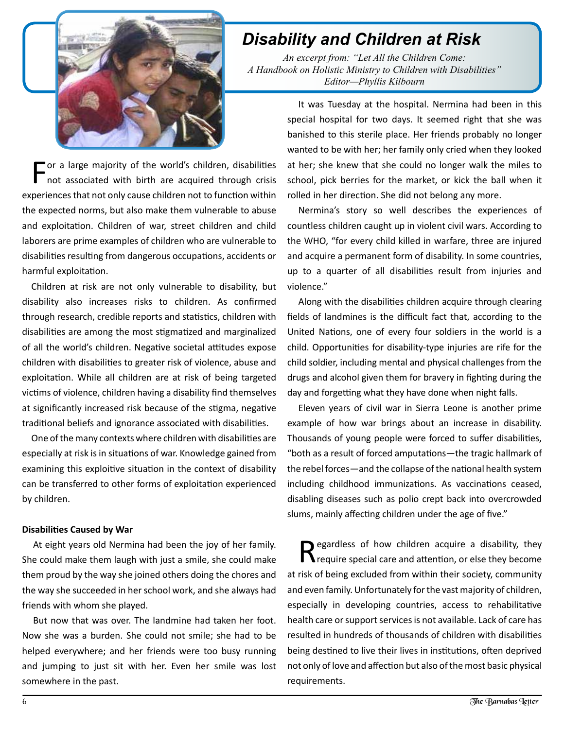

## *Disability and Children at Risk*

*An excerpt from: "Let All the Children Come: A Handbook on Holistic Ministry to Children with Disabilities" Editor—Phyllis Kilbourn*

For a large majority of the world's children, disabilities not associated with birth are acquired through crisis experiences that not only cause children not to function within the expected norms, but also make them vulnerable to abuse and exploitation. Children of war, street children and child laborers are prime examples of children who are vulnerable to disabilities resulting from dangerous occupations, accidents or harmful exploitation.

Children at risk are not only vulnerable to disability, but disability also increases risks to children. As confirmed through research, credible reports and statistics, children with disabilities are among the most stigmatized and marginalized of all the world's children. Negative societal attitudes expose children with disabilities to greater risk of violence, abuse and exploitation. While all children are at risk of being targeted victims of violence, children having a disability find themselves at significantly increased risk because of the stigma, negative traditional beliefs and ignorance associated with disabilities.

One of the many contexts where children with disabilities are especially at risk is in situations of war. Knowledge gained from examining this exploitive situation in the context of disability can be transferred to other forms of exploitation experienced by children.

#### **Disabilities Caused by War**

At eight years old Nermina had been the joy of her family. She could make them laugh with just a smile, she could make them proud by the way she joined others doing the chores and the way she succeeded in her school work, and she always had friends with whom she played.

But now that was over. The landmine had taken her foot. Now she was a burden. She could not smile; she had to be helped everywhere; and her friends were too busy running and jumping to just sit with her. Even her smile was lost somewhere in the past.

It was Tuesday at the hospital. Nermina had been in this special hospital for two days. It seemed right that she was banished to this sterile place. Her friends probably no longer wanted to be with her; her family only cried when they looked at her; she knew that she could no longer walk the miles to school, pick berries for the market, or kick the ball when it rolled in her direction. She did not belong any more.

Nermina's story so well describes the experiences of countless children caught up in violent civil wars. According to the WHO, "for every child killed in warfare, three are injured and acquire a permanent form of disability. In some countries, up to a quarter of all disabilities result from injuries and violence."

Along with the disabilities children acquire through clearing fields of landmines is the difficult fact that, according to the United Nations, one of every four soldiers in the world is a child. Opportunities for disability-type injuries are rife for the child soldier, including mental and physical challenges from the drugs and alcohol given them for bravery in fighting during the day and forgetting what they have done when night falls.

Eleven years of civil war in Sierra Leone is another prime example of how war brings about an increase in disability. Thousands of young people were forced to suffer disabilities, "both as a result of forced amputations—the tragic hallmark of the rebel forces—and the collapse of the national health system including childhood immunizations. As vaccinations ceased, disabling diseases such as polio crept back into overcrowded slums, mainly affecting children under the age of five."

Regardless of how children acquire a disability, they require special care and attention, or else they become at risk of being excluded from within their society, community and even family. Unfortunately for the vast majority of children, especially in developing countries, access to rehabilitative health care or support services is not available. Lack of care has resulted in hundreds of thousands of children with disabilities being destined to live their lives in institutions, often deprived not only of love and affection but also of the most basic physical requirements.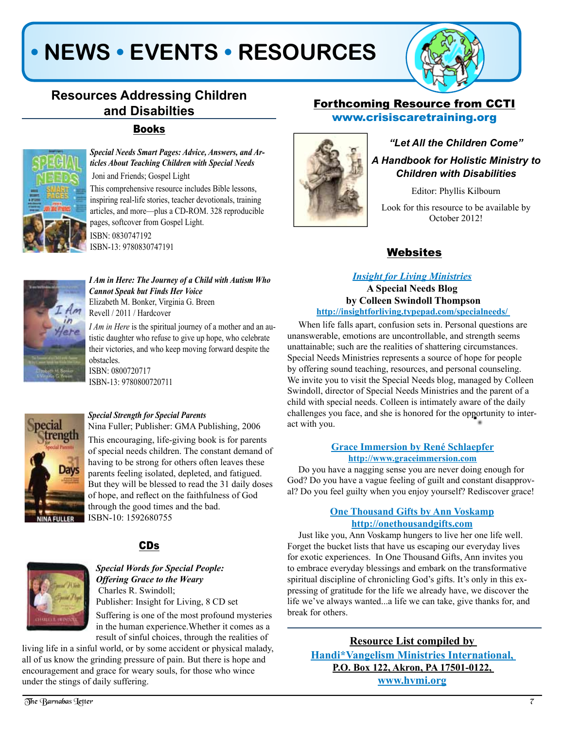## **• NEWS • EVENTS • RESOURCES**



## **Resources Addressing Children and Disabilties Forthcoming Resource from CCTI**<br>and Disabilties

Books



## *Special Needs Smart Pages: Advice, Answers, and Articles About Teaching Children with Special Needs*  Joni and Friends; Gospel Light This comprehensive resource includes Bible lessons,

inspiring real-life stories, teacher devotionals, training articles, and more—plus a CD-ROM. 328 reproducible pages, softcover from Gospel Light.

ISBN: 0830747192 ISBN-13: 9780830747191

# www.crisiscaretraining.org



*"Let All the Children Come" A Handbook for Holistic Ministry to Children with Disabilities*

Editor: Phyllis Kilbourn

Look for this resource to be available by October 2012!

## **Websites**

## *Insight for Living Ministries*

#### **A Special Needs Blog by Colleen Swindoll Thompson http://insightforliving.typepad.com/specialneeds/**

When life falls apart, confusion sets in. Personal questions are unanswerable, emotions are uncontrollable, and strength seems unattainable; such are the realities of shattering circumstances. Special Needs Ministries represents a source of hope for people by offering sound teaching, resources, and personal counseling. We invite you to visit the Special Needs blog, managed by Colleen Swindoll, director of Special Needs Ministries and the parent of a child with special needs. Colleen is intimately aware of the daily challenges you face, and she is honored for the opportunity to interact with you.

### **Grace Immersion by René Schlaepfer http://www.graceimmersion.com**

Do you have a nagging sense you are never doing enough for God? Do you have a vague feeling of guilt and constant disapproval? Do you feel guilty when you enjoy yourself? Rediscover grace!

## **One Thousand Gifts by Ann Voskamp http://onethousandgifts.com**

Just like you, Ann Voskamp hungers to live her one life well. Forget the bucket lists that have us escaping our everyday lives for exotic experiences. In One Thousand Gifts, Ann invites you to embrace everyday blessings and embark on the transformative spiritual discipline of chronicling God's gifts. It's only in this expressing of gratitude for the life we already have, we discover the life we've always wanted...a life we can take, give thanks for, and break for others.

**Resource List compiled by Handi\*Vangelism Ministries International, P.O. Box 122, Akron, PA 17501-0122, www.hvmi.org**



*I Am in Here: The Journey of a Child with Autism Who Cannot Speak but Finds Her Voice* Elizabeth M. Bonker, Virginia G. Breen Revell / 2011 / Hardcover

*I Am in Here* is the spiritual journey of a mother and an autistic daughter who refuse to give up hope, who celebrate their victories, and who keep moving forward despite the obstacles. ISBN: 0800720717

ISBN-13: 9780800720711



## *Special Strength for Special Parents*

Nina Fuller; Publisher: GMA Publishing, 2006

This encouraging, life-giving book is for parents of special needs children. The constant demand of having to be strong for others often leaves these parents feeling isolated, depleted, and fatigued. But they will be blessed to read the 31 daily doses of hope, and reflect on the faithfulness of God through the good times and the bad. ISBN-10: 1592680755



## CDs

*Special Words for Special People: Offering Grace to the Weary* Charles R. Swindoll;

Publisher: Insight for Living, 8 CD set Suffering is one of the most profound mysteries

in the human experience.Whether it comes as a result of sinful choices, through the realities of

living life in a sinful world, or by some accident or physical malady, all of us know the grinding pressure of pain. But there is hope and encouragement and grace for weary souls, for those who wince under the stings of daily suffering.